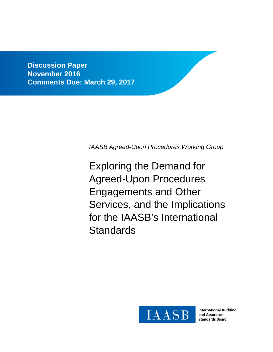**Discussion Paper November 2016 Comments Due: March 29, 2017**

*IAASB Agreed-Upon Procedures Working Group*

Exploring the Demand for Agreed-Upon Procedures Engagements and Other Services, and the Implications for the IAASB's International **Standards** 



**International Auditing** and Assurance **Standards Board**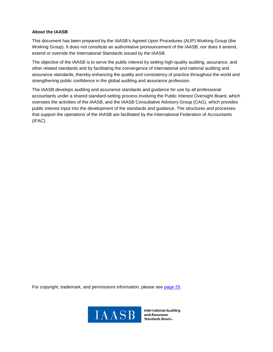#### **About the IAASB**

This document has been prepared by the IAASB's Agreed Upon Procedures (AUP) Working Group (the Working Group). It does not constitute an authoritative pronouncement of the IAASB, nor does it amend, extend or override the International Standards issued by the IAASB.

The objective of the IAASB is to serve the public interest by setting high-quality auditing, assurance, and other related standards and by facilitating the convergence of international and national auditing and assurance standards, thereby enhancing the quality and consistency of practice throughout the world and strengthening public confidence in the global auditing and assurance profession.

The IAASB develops auditing and assurance standards and guidance for use by all professional accountants under a shared standard-setting process involving the Public Interest Oversight Board, which oversees the activities of the IAASB, and the IAASB Consultative Advisory Group (CAG), which provides public interest input into the development of the standards and guidance. The structures and processes that support the operations of the IAASB are facilitated by the International Federation of Accountants (IFAC).

For copyright, trademark, and permissions information, please see page 25.



**International Auditing** and Assurance Standards Board.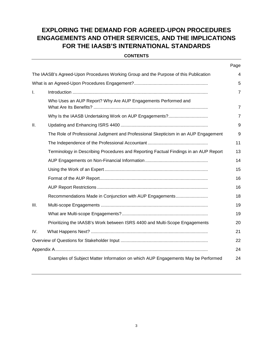# **EXPLORING THE DEMAND FOR AGREED-UPON PROCEDURES ENGAGEMENTS AND OTHER SERVICES, AND THE IMPLICATIONS FOR THE IAASB'S INTERNATIONAL STANDARDS**

#### **CONTENTS**

|     |                                                                                      | Page           |
|-----|--------------------------------------------------------------------------------------|----------------|
|     | The IAASB's Agreed-Upon Procedures Working Group and the Purpose of this Publication | 4              |
|     |                                                                                      | 5              |
| I.  |                                                                                      | $\overline{7}$ |
|     | Who Uses an AUP Report? Why Are AUP Engagements Performed and                        | $\overline{7}$ |
|     |                                                                                      | $\overline{7}$ |
| Ш.  |                                                                                      | 9              |
|     | The Role of Professional Judgment and Professional Skepticism in an AUP Engagement   | 9              |
|     |                                                                                      | 11             |
|     | Terminology in Describing Procedures and Reporting Factual Findings in an AUP Report | 13             |
|     |                                                                                      | 14             |
|     |                                                                                      | 15             |
|     |                                                                                      | 16             |
|     |                                                                                      | 16             |
|     | Recommendations Made in Conjunction with AUP Engagements                             | 18             |
| Ш.  |                                                                                      | 19             |
|     |                                                                                      | 19             |
|     | Prioritizing the IAASB's Work between ISRS 4400 and Multi-Scope Engagements          | 20             |
| IV. |                                                                                      | 21             |
|     |                                                                                      | 22             |
|     |                                                                                      | 24             |
|     | Examples of Subject Matter Information on which AUP Engagements May be Performed     | 24             |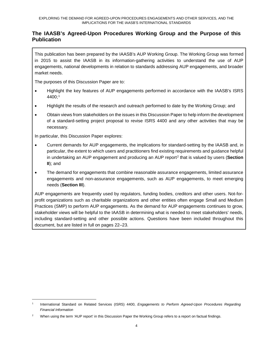# **The IAASB's Agreed-Upon Procedures Working Group and the Purpose of this Publication**

This publication has been prepared by the IAASB's AUP Working Group. The Working Group was formed in 2015 to assist the IAASB in its information-gathering activities to understand the use of AUP engagements, national developments in relation to standards addressing AUP engagements, and broader market needs.

The purposes of this Discussion Paper are to:

- Highlight the key features of AUP engagements performed in accordance with the IAASB's ISRS 4400;1
- Highlight the results of the research and outreach performed to date by the Working Group; and
- Obtain views from stakeholders on the issues in this Discussion Paper to help inform the development of a standard-setting project proposal to revise ISRS 4400 and any other activities that may be necessary.

In particular, this Discussion Paper explores:

- Current demands for AUP engagements, the implications for standard-setting by the IAASB and, in particular, the extent to which users and practitioners find existing requirements and guidance helpful in undertaking an AUP engagement and producing an AUP report<sup>2</sup> that is valued by users (**Section II**); and
- The demand for engagements that combine reasonable assurance engagements, limited assurance engagements and non-assurance engagements, such as AUP engagements, to meet emerging needs (**Section III**).

AUP engagements are frequently used by regulators, funding bodies, creditors and other users. Not-forprofit organizations such as charitable organizations and other entities often engage Small and Medium Practices (SMP) to perform AUP engagements. As the demand for AUP engagements continues to grow, stakeholder views will be helpful to the IAASB in determining what is needed to meet stakeholders' needs, including standard-setting and other possible actions. Questions have been included throughout this document, but are listed in full on pages 22–23.

 <sup>1</sup> International Standard on Related Services (ISRS) 4400, *Engagements to Perform Agreed-Upon Procedures Regarding Financial Information*

<sup>2</sup> When using the term 'AUP report' in this Discussion Paper the Working Group refers to a report on factual findings.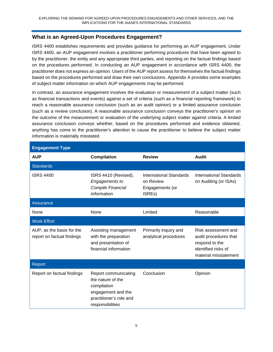# **What is an Agreed-Upon Procedures Engagement?**

ISRS 4400 establishes requirements and provides guidance for performing an AUP engagement. Under ISRS 4400, an AUP engagement involves a practitioner performing procedures that have been agreed to by the practitioner, the entity and any appropriate third parties, and reporting on the factual findings based on the procedures performed. In conducting an AUP engagement in accordance with ISRS 4400, the practitioner does not express an opinion. Users of the AUP report assess for themselves the factual findings based on the procedures performed and draw their own conclusions. Appendix A provides some examples of subject matter information on which AUP engagements may be performed.

In contrast, an assurance engagement involves the evaluation or measurement of a subject matter (such as financial transactions and events) against a set of criteria (such as a financial reporting framework) to reach a reasonable assurance conclusion (such as an audit opinion) or a limited assurance conclusion (such as a review conclusion). A reasonable assurance conclusion conveys the practitioner's opinion on the outcome of the measurement or evaluation of the underlying subject matter against criteria. A limited assurance conclusion conveys whether, based on the procedures performed and evidence obtained, anything has come to the practitioner's attention to cause the practitioner to believe the subject matter information is materially misstated.

| <b>Engagement Type</b>                                  |                                                                                                                               |                                                                   |                                                                                                                |  |  |  |
|---------------------------------------------------------|-------------------------------------------------------------------------------------------------------------------------------|-------------------------------------------------------------------|----------------------------------------------------------------------------------------------------------------|--|--|--|
| <b>AUP</b>                                              | <b>Compilation</b>                                                                                                            | <b>Review</b>                                                     | Audit                                                                                                          |  |  |  |
| <b>Standards</b>                                        |                                                                                                                               |                                                                   |                                                                                                                |  |  |  |
| <b>ISRS 4400</b>                                        | ISRS 4410 (Revised),<br>Engagements to<br>Compile Financial<br><b>Information</b>                                             | International Standards<br>on Review<br>Engagements (or<br>ISREs) | <b>International Standards</b><br>on Auditing (or ISAs)                                                        |  |  |  |
| <b>Assurance</b>                                        |                                                                                                                               |                                                                   |                                                                                                                |  |  |  |
| None                                                    | None                                                                                                                          | Limited                                                           | Reasonable                                                                                                     |  |  |  |
| <b>Work Effort</b>                                      |                                                                                                                               |                                                                   |                                                                                                                |  |  |  |
| AUP, as the basis for the<br>report on factual findings | Assisting management<br>with the preparation<br>and presentation of<br>financial information                                  | Primarily inquiry and<br>analytical procedures                    | Risk assessment and<br>audit procedures that<br>respond to the<br>identified risks of<br>material misstatement |  |  |  |
| Report                                                  |                                                                                                                               |                                                                   |                                                                                                                |  |  |  |
| Report on factual findings                              | Report communicating<br>the nature of the<br>compilation<br>engagement and the<br>practitioner's role and<br>responsibilities | Conclusion                                                        | Opinion                                                                                                        |  |  |  |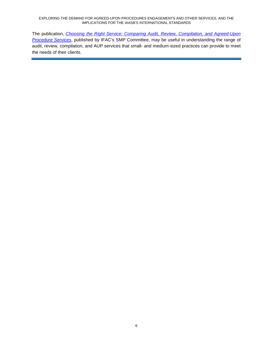#### EXPLORING THE DEMAND FOR AGREED-UPON PROCEDURES ENGAGEMENTS AND OTHER SERVICES, AND THE IMPLICATIONS FOR THE IAASB'S INTERNATIONAL STANDARDS

The publication, *Choosing the Right Service: Comparing Audit, Review, Compilation, and Agreed-Upon Procedure Services*, published by IFAC's SMP Committee, may be useful in understanding the range of audit, review, compilation, and AUP services that small- and medium-sized practices can provide to meet the needs of their clients.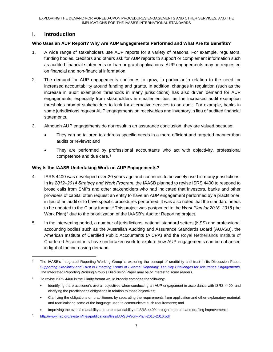# I. **Introduction**

### **Who Uses an AUP Report? Why Are AUP Engagements Performed and What Are Its Benefits?**

- 1. A wide range of stakeholders use AUP reports for a variety of reasons. For example, regulators, funding bodies, creditors and others ask for AUP reports to support or complement information such as audited financial statements or loan or grant applications. AUP engagements may be requested on financial and non-financial information.
- 2. The demand for AUP engagements continues to grow, in particular in relation to the need for increased accountability around funding and grants. In addition, changes in regulation (such as the increase in audit exemption thresholds in many jurisdictions) has also driven demand for AUP engagements, especially from stakeholders in smaller entities, as the increased audit exemption thresholds prompt stakeholders to look for alternative services to an audit. For example, banks in some jurisdictions request AUP engagements on receivables and inventory in lieu of audited financial statements.
- 3. Although AUP engagements do not result in an assurance conclusion, they are valued because:
	- They can be tailored to address specific needs in a more efficient and targeted manner than audits or reviews; and
	- They are performed by professional accountants who act with objectivity, professional competence and due care.3

#### **Why Is the IAASB Undertaking Work on AUP Engagements?**

- 4. ISRS 4400 was developed over 20 years ago and continues to be widely used in many jurisdictions. In its *2012‒2014 Strategy and Work Program*, the IAASB planned to revise ISRS 4400 to respond to broad calls from SMPs and other stakeholders who had indicated that investors, banks and other providers of capital often request an entity to have an AUP engagement performed by a practitioner, in lieu of an audit or to have specific procedures performed. It was also noted that the standard needs to be updated to the Clarity format.<sup>4</sup> This project was postponed to the *Work Plan for 2015–2016* (the Work Plan)<sup>5</sup> due to the prioritization of the IAASB's Auditor Reporting project.
- 5. In the intervening period, a number of jurisdictions, national standard setters (NSS) and professional accounting bodies such as the Australian Auditing and Assurance Standards Board (AUASB), the American Institute of Certified Public Accountants (AICPA) and the Royal Netherlands Institute of Chartered Accountants have undertaken work to explore how AUP engagements can be enhanced in light of the increasing demand.

<sup>&</sup>lt;sup>3</sup> The IAASB's Integrated Reporting Working Group is exploring the concept of credibility and trust in its Discussion Paper, *Supporting Credibility and Trust in Emerging Forms of External Reporting: Ten Key Challenges for Assurance Engagements*. The Integrated Reporting Working Group's Discussion Paper may be of interest to some readers.

To revise ISRS 4400 in the Clarity format would broadly comprise the following:

<sup>•</sup> Identifying the practitioner's overall objectives when conducting an AUP engagement in accordance with ISRS 4400, and clarifying the practitioner's obligations in relation to those objectives;

<sup>•</sup> Clarifying the obligations on practitioners by separating the requirements from application and other explanatory material, and rearticulating some of the language used to communicate such requirements; and

<sup>•</sup> Improving the overall readability and understandability of ISRS 4400 through structural and drafting improvements.

<sup>5</sup> http://www.ifac.org/system/files/publications/files/IAASB-Work-Plan-2015-2016.pdf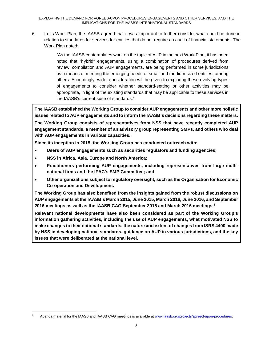6. In its Work Plan, the IAASB agreed that it was important to further consider what could be done in relation to standards for services for entities that do not require an audit of financial statements. The Work Plan noted:

> "As the IAASB contemplates work on the topic of AUP in the next Work Plan, it has been noted that "hybrid" engagements, using a combination of procedures derived from review, compilation and AUP engagements, are being performed in some jurisdictions as a means of meeting the emerging needs of small and medium sized entities, among others. Accordingly, wider consideration will be given to exploring these evolving types of engagements to consider whether standard-setting or other activities may be appropriate, in light of the existing standards that may be applicable to these services in the IAASB's current suite of standards."

**The IAASB established the Working Group to consider AUP engagements and other more holistic issues related to AUP engagements and to inform the IAASB's decisions regarding these matters.** 

**The Working Group consists of representatives from NSS that have recently completed AUP engagement standards, a member of an advisory group representing SMPs, and others who deal with AUP engagements in various capacities.**

**Since its inception in 2015, the Working Group has conducted outreach with:**

- **Users of AUP engagements such as securities regulators and funding agencies;**
- **NSS in Africa, Asia, Europe and North America;**
- **Practitioners performing AUP engagements, including representatives from large multinational firms and the IFAC's SMP Committee; and**
- **Other organizations subject to regulatory oversight, such as the Organisation for Economic Co-operation and Development.**

**The Working Group has also benefited from the insights gained from the robust discussions on AUP engagements at the IAASB's March 2015, June 2015, March 2016, June 2016, and September 2016 meetings as well as the IAASB CAG September 2015 and March 2016 meetings.6**

**Relevant national developments have also been considered as part of the Working Group's information gathering activities, including the use of AUP engagements, what motivated NSS to make changes to their national standards, the nature and extent of changes from ISRS 4400 made by NSS in developing national standards, guidance on AUP in various jurisdictions, and the key issues that were deliberated at the national level.**

Agenda material for the IAASB and IAASB CAG meetings is available at www.iaasb.org/projects/agreed-upon-procedures.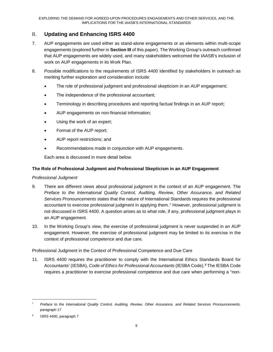# II. **Updating and Enhancing ISRS 4400**

- 7. AUP engagements are used either as stand-alone engagements or as elements within multi-scope engagements (explored further in **Section III** of this paper). The Working Group's outreach confirmed that AUP engagements are widely used, and many stakeholders welcomed the IAASB's inclusion of work on AUP engagements in its Work Plan.
- 8. Possible modifications to the requirements of ISRS 4400 identified by stakeholders in outreach as meriting further exploration and consideration include:
	- The role of professional judgment and professional skepticism in an AUP engagement;
	- The independence of the professional accountant;
	- Terminology in describing procedures and reporting factual findings in an AUP report;
	- AUP engagements on non-financial information;
	- Using the work of an expert;
	- Format of the AUP report;
	- AUP report restrictions; and
	- Recommendations made in conjunction with AUP engagements.

Each area is discussed in more detail below.

### **The Role of Professional Judgment and Professional Skepticism in an AUP Engagement**

#### *Professional Judgment*

- 9. There are different views about professional judgment in the context of an AUP engagement. The *Preface to the International Quality Control, Auditing, Review, Other Assurance, and Related Services Pronouncements* states that the nature of International Standards requires the professional accountant to exercise professional judgment in applying them.7 However, professional judgment is not discussed in ISRS 4400. A question arises as to what role, if any, professional judgment plays in an AUP engagement.
- 10. In the Working Group's view, the exercise of professional judgment is never suspended in an AUP engagement. However, the exercise of professional judgment may be limited to its exercise in the context of professional competence and due care.

Professional Judgment in the Context of Professional Competence and Due Care

11. ISRS 4400 requires the practitioner to comply with the International Ethics Standards Board for Accountants' (IESBA), *Code of Ethics for Professional Accountants* (IESBA Code).8 The IESBA Code requires a practitioner to exercise professional competence and due care when performing a "non-

 <sup>7</sup> *Preface to the International Quality Control, Auditing, Review, Other Assurance, and Related Services Pronouncements,*  paragraph 17

ISRS 4400, paragraph 7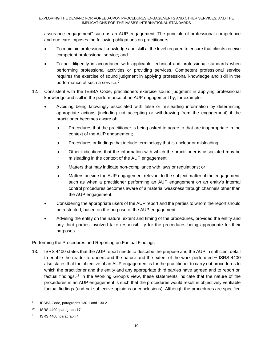assurance engagement" such as an AUP engagement. The principle of professional competence and due care imposes the following obligations on practitioners:

- To maintain professional knowledge and skill at the level required to ensure that clients receive competent professional service; and
- To act diligently in accordance with applicable technical and professional standards when performing professional activities or providing services. Competent professional service requires the exercise of sound judgment in applying professional knowledge and skill in the performance of such a service.<sup>9</sup>
- 12. Consistent with the IESBA Code, practitioners exercise sound judgment in applying professional knowledge and skill in the performance of an AUP engagement by, for example:
	- Avoiding being knowingly associated with false or misleading information by determining appropriate actions (including not accepting or withdrawing from the engagement) if the practitioner becomes aware of:
		- o Procedures that the practitioner is being asked to agree to that are inappropriate in the context of the AUP engagement;
		- o Procedures or findings that include terminology that is unclear or misleading;
		- o Other indications that the information with which the practitioner is associated may be misleading in the context of the AUP engagement;
		- o Matters that may indicate non-compliance with laws or regulations; or
		- o Matters outside the AUP engagement relevant to the subject matter of the engagement, such as when a practitioner performing an AUP engagement on an entity's internal control procedures becomes aware of a material weakness through channels other than the AUP engagement.
	- Considering the appropriate users of the AUP report and the parties to whom the report should be restricted, based on the purpose of the AUP engagement.
	- Advising the entity on the nature, extent and timing of the procedures, provided the entity and any third parties involved take responsibility for the procedures being appropriate for their purposes.

### Performing the Procedures and Reporting on Factual Findings

13. ISRS 4400 states that the AUP report needs to describe the purpose and the AUP in sufficient detail to enable the reader to understand the nature and the extent of the work performed.10 ISRS 4400 also states that the objective of an AUP engagement is for the practitioner to carry out procedures to which the practitioner and the entity and any appropriate third parties have agreed and to report on factual findings.11 In the Working Group's view, these statements indicate that the nature of the procedures in an AUP engagement is such that the procedures would result in objectively verifiable factual findings (and not subjective opinions or conclusions). Although the procedures are specified

<sup>&</sup>lt;sup>9</sup> IESBA Code, paragraphs 130.1 and 130.2

<sup>10</sup> ISRS 4400, paragraph 17

<sup>11</sup> ISRS 4400, paragraph 4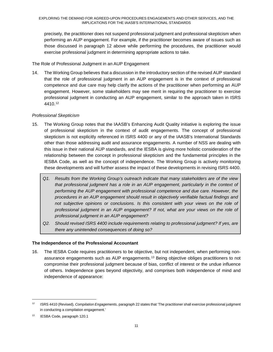precisely, the practitioner does not suspend professional judgment and professional skepticism when performing an AUP engagement. For example, if the practitioner becomes aware of issues such as those discussed in paragraph 12 above while performing the procedures, the practitioner would exercise professional judgment in determining appropriate actions to take.

The Role of Professional Judgment in an AUP Engagement

14. The Working Group believes that a discussion in the introductory section of the revised AUP standard that the role of professional judgment in an AUP engagement is in the context of professional competence and due care may help clarify the actions of the practitioner when performing an AUP engagement. However, some stakeholders may see merit in requiring the practitioner to exercise professional judgment in conducting an AUP engagement, similar to the approach taken in ISRS 4410.12

### *Professional Skepticism*

- 15. The Working Group notes that the IAASB's Enhancing Audit Quality initiative is exploring the issue of professional skepticism in the context of audit engagements. The concept of professional skepticism is not explicitly referenced in ISRS 4400 or any of the IAASB's International Standards other than those addressing audit and assurance engagements. A number of NSS are dealing with this issue in their national AUP standards, and the IESBA is giving more holistic consideration of the relationship between the concept in professional skepticism and the fundamental principles in the IESBA Code, as well as the concept of independence. The Working Group is actively monitoring these developments and will further assess the impact of these developments in revising ISRS 4400.
	- *Q1. Results from the Working Group's outreach indicate that many stakeholders are of the view that professional judgment has a role in an AUP engagement, particularly in the context of performing the AUP engagement with professional competence and due care. However, the procedures in an AUP engagement should result in objectively verifiable factual findings and not subjective opinions or conclusions. Is this consistent with your views on the role of professional judgment in an AUP engagement? If not, what are your views on the role of professional judgment in an AUP engagement?*
	- *Q2. Should revised ISRS 4400 include requirements relating to professional judgment? If yes, are there any unintended consequences of doing so?*

### **The Independence of the Professional Accountant**

16. The IESBA Code requires practitioners to be objective, but not independent, when performing nonassurance engagements such as AUP engagements.13 Being objective obliges practitioners to not compromise their professional judgment because of bias, conflict of interest or the undue influence of others. Independence goes beyond objectivity, and comprises both independence of mind and independence of appearance:

 <sup>12</sup> ISRS 4410 (Revised), *Compilation Engagements*, paragraph 22 states that 'The practitioner shall exercise professional judgment in conducting a compilation engagement.'

<sup>13</sup> IESBA Code, paragraph 120.1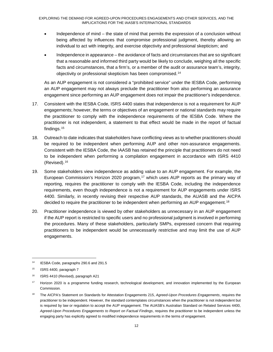- Independence of mind the state of mind that permits the expression of a conclusion without being affected by influences that compromise professional judgment, thereby allowing an individual to act with integrity, and exercise objectivity and professional skepticism; and
- Independence in appearance the avoidance of facts and circumstances that are so significant that a reasonable and informed third party would be likely to conclude, weighing all the specific facts and circumstances, that a firm's, or a member of the audit or assurance team's, integrity, objectivity or professional skepticism has been compromised.14

As an AUP engagement is not considered a "prohibited service" under the IESBA Code, performing an AUP engagement may not always preclude the practitioner from also performing an assurance engagement since performing an AUP engagement does not impair the practitioner's independence.

- 17. Consistent with the IESBA Code, ISRS 4400 states that independence is not a requirement for AUP engagements; however, the terms or objectives of an engagement or national standards may require the practitioner to comply with the independence requirements of the IESBA Code. Where the practitioner is not independent, a statement to that effect would be made in the report of factual findings.15
- 18. Outreach to date indicates that stakeholders have conflicting views as to whether practitioners should be required to be independent when performing AUP and other non-assurance engagements. Consistent with the IESBA Code, the IAASB has retained the principle that practitioners do not need to be independent when performing a compilation engagement in accordance with ISRS 4410 (Revised).16
- 19. Some stakeholders view independence as adding value to an AUP engagement. For example, the European Commission's Horizon 2020 program,17 which uses AUP reports as the primary way of reporting, requires the practitioner to comply with the IESBA Code, including the independence requirements, even though independence is not a requirement for AUP engagements under ISRS 4400. Similarly, in recently revising their respective AUP standards, the AUASB and the AICPA decided to require the practitioner to be independent when performing an AUP engagement.<sup>18</sup>
- 20. Practitioner independence is viewed by other stakeholders as unnecessary in an AUP engagement if the AUP report is restricted to specific users and no professional judgment is involved in performing the procedures. Many of these stakeholders, particularly SMPs, expressed concern that requiring practitioners to be independent would be unnecessarily restrictive and may limit the use of AUP engagements.

 <sup>14</sup> IESBA Code, paragraphs 290.6 and 291.5

<sup>&</sup>lt;sup>15</sup> ISRS 4400, paragraph 7

<sup>&</sup>lt;sup>16</sup> ISRS 4410 (Revised), paragraph A21

<sup>&</sup>lt;sup>17</sup> Horizon 2020 is a programme funding research, technological development, and innovation implemented by the European Commission.

<sup>18</sup> The AICPA's Statement on Standards for Attestation Engagements 215, *Agreed-Upon Procedures Engagements*, requires the practitioner to be independent. However, the standard contemplates circumstances when the practitioner is not independent but is required by law or regulation to accept the AUP engagement. The AUASB's Australian Standard on Related Services 4400, *Agreed-Upon Procedures Engagements to Report on Factual Findings*, requires the practitioner to be independent unless the engaging party has explicitly agreed to modified independence requirements in the terms of engagement.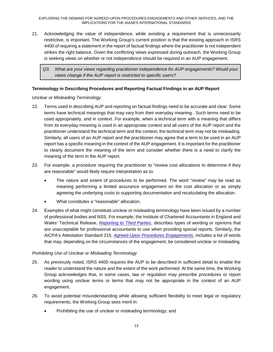21. Acknowledging the value of independence, while avoiding a requirement that is unnecessarily restrictive, is important. The Working Group's current position is that the existing approach in ISRS 4400 of requiring a statement in the report of factual findings where the practitioner is not independent strikes the right balance. Given the conflicting views expressed during outreach, the Working Group is seeking views on whether or not independence should be required in an AUP engagement.

*Q3. What are your views regarding practitioner independence for AUP engagements? Would your views change if the AUP report is restricted to specific users?*

### **Terminology in Describing Procedures and Reporting Factual Findings in an AUP Report**

### *Unclear or Misleading Terminology*

- 22. Terms used in describing AUP and reporting on factual findings need to be accurate and clear. Some terms have technical meanings that may vary from their everyday meaning . Such terms need to be used appropriately, and in context. For example, when a technical term with a meaning that differs from its everyday meaning is used in an appropriate context and all users of the AUP report and the practitioner understand the technical term and the context, the technical term may not be misleading. Similarly, all users of an AUP report and the practitioner may agree that a term to be used in an AUP report has a specific meaning in the context of the AUP engagement. It is important for the practitioner to clearly document the meaning of the term and consider whether there is a need to clarify the meaning of the term in the AUP report.
- 23. For example, a procedure requiring the practitioner to "review cost allocations to determine if they are reasonable" would likely require interpretation as to:
	- The nature and extent of procedures to be performed. The word "review" may be read as meaning performing a limited assurance engagement on the cost allocation or as simply agreeing the underlying costs to supporting documentation and recalculating the allocation.
	- What constitutes a "reasonable" allocation.
- 24. Examples of what might constitute unclear or misleading terminology have been issued by a number of professional bodies and NSS. For example, the Institute of Chartered Accountants in England and Wales' Technical Release, *Reporting to Third Parties*, describes types of wording or opinions that are unacceptable for professional accountants to use when providing special reports. Similarly, the AICPA's Attestation Standard 215, *Agreed-Upon Procedures Engagements*, includes a list of words that may, depending on the circumstances of the engagement, be considered unclear or misleading.

### *Prohibiting Use of Unclear or Misleading Terminology*

- 25. As previously noted, ISRS 4400 requires the AUP to be described in sufficient detail to enable the reader to understand the nature and the extent of the work performed. At the same time, the Working Group acknowledges that, in some cases, law or regulation may prescribe procedures or report wording using unclear terms or terms that may not be appropriate in the context of an AUP engagement.
- 26. To avoid potential misunderstanding while allowing sufficient flexibility to meet legal or regulatory requirements, the Working Group sees merit in:
	- Prohibiting the use of unclear or misleading terminology; and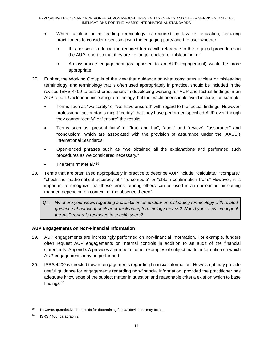- Where unclear or misleading terminology is required by law or regulation, requiring practitioners to consider discussing with the engaging party and the user whether:
	- o It is possible to define the required terms with reference to the required procedures in the AUP report so that they are no longer unclear or misleading; or
	- o An assurance engagement (as opposed to an AUP engagement) would be more appropriate.
- 27. Further, the Working Group is of the view that guidance on what constitutes unclear or misleading terminology, and terminology that is often used appropriately in practice, should be included in the revised ISRS 4400 to assist practitioners in developing wording for AUP and factual findings in an AUP report. Unclear or misleading terminology that the practitioner should avoid include, for example:
	- Terms such as "we certify" or "we have ensured" with regard to the factual findings. However, professional accountants might "certify" that they have performed specified AUP even though they cannot "certify" or "ensure" the results.
	- Terms such as "present fairly" or "true and fair", "audit" and "review", "assurance" and "conclusion", which are associated with the provision of assurance under the IAASB's International Standards.
	- Open-ended phrases such as **"**we obtained all the explanations and performed such procedures as we considered necessary."
	- The term "material."<sup>19</sup>
- 28. Terms that are often used appropriately in practice to describe AUP include, "calculate," "compare," "check the mathematical accuracy of," "re-compute" or "obtain confirmation from." However, it is important to recognize that these terms, among others can be used in an unclear or misleading manner, depending on context, or the absence thereof.
	- *Q4. What are your views regarding a prohibition on unclear or misleading terminology with related guidance about what unclear or misleading terminology means? Would your views change if the AUP report is restricted to specifc users?*

### **AUP Engagements on Non-Financial Information**

- 29. AUP engagements are increasingly performed on non-financial information. For example, funders often request AUP engagements on internal controls in addition to an audit of the financial statements. Appendix A provides a number of other examples of subject matter information on which AUP engagements may be performed.
- 30. ISRS 4400 is directed toward engagements regarding financial information. However, it may provide useful guidance for engagements regarding non-financial information, provided the practitioner has adequate knowledge of the subject matter in question and reasonable criteria exist on which to base findings.20

 $19$  However, quantitative thresholds for determining factual deviations may be set.

<sup>20</sup> ISRS 4400, paragraph 2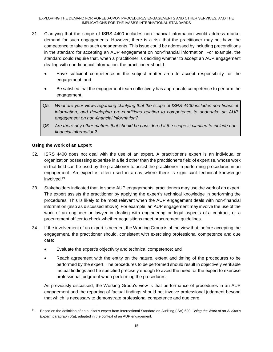- 31. Clarifying that the scope of ISRS 4400 includes non-financial information would address market demand for such engagements. However, there is a risk that the practitioner may not have the competence to take on such engagements. This issue could be addressed by including preconditions in the standard for accepting an AUP engagement on non-financial information. For example, the standard could require that, when a practitioner is deciding whether to accept an AUP engagement dealing with non-financial information, the practitioner should:
	- Have sufficient competence in the subject matter area to accept responsibility for the engagement; and
	- Be satisfied that the engagement team collectively has appropriate competence to perform the engagement.
	- *Q5. What are your views regarding clarifying that the scope of ISRS 4400 includes non-financial information, and developing pre-conditions relating to competence to undertake an AUP engagement on non-financial information?*
	- *Q6. Are there any other matters that should be considered if the scope is clarified to include nonfinancial information?*

### **Using the Work of an Expert**

- 32. ISRS 4400 does not deal with the use of an expert. A practitioner's expert is an individual or organization possessing expertise in a field other than the practitioner's field of expertise, whose work in that field can be used by the practitioner to assist the practitioner in performing procedures in an engagement. An expert is often used in areas where there is significant technical knowledge involved.21
- 33. Stakeholders indicated that, in some AUP engagements, practitioners may use the work of an expert. The expert assists the practitioner by applying the expert's technical knowledge in performing the procedures. This is likely to be most relevant when the AUP engagement deals with non-financial information (also as discussed above). For example, an AUP engagement may involve the use of the work of an engineer or lawyer in dealing with engineering or legal aspects of a contract, or a procurement officer to check whether acquisitions meet procurement guidelines.
- 34. If the involvement of an expert is needed, the Working Group is of the view that, before accepting the engagement, the practitioner should, consistent with exercising professional competence and due care:
	- Evaluate the expert's objectivity and technical competence; and
	- Reach agreement with the entity on the nature, extent and timing of the procedures to be performed by the expert. The procedures to be performed should result in objectively verifiable factual findings and be specified precisely enough to avoid the need for the expert to exercise professional judgment when performing the procedures.

As previously discussed, the Working Group's view is that performance of procedures in an AUP engagement and the reporting of factual findings should not involve professional judgment beyond that which is necessary to demonstrate professional competence and due care.

 <sup>21</sup> Based on the definition of an auditor's expert from International Standard on Auditing (ISA) 620, *Using the Work of an Auditor's Expert*, paragraph 6(a), adapted in the context of an AUP engagement.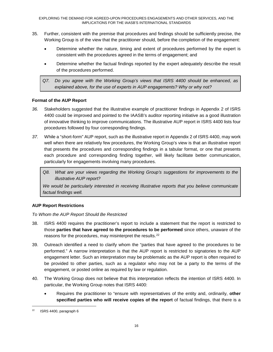- 35. Further, consistent with the premise that procedures and findings should be sufficiently precise, the Working Group is of the view that the practitioner should, before the completion of the engagement:
	- Determine whether the nature, timing and extent of procedures performed by the expert is consistent with the procedures agreed in the terms of engagement; and
	- Determine whether the factual findings reported by the expert adequately describe the result of the procedures performed.
	- *Q7. Do you agree with the Working Group's views that ISRS 4400 should be enhanced, as explained above, for the use of experts in AUP engagements? Why or why not?*

### **Format of the AUP Report**

- *36.* Stakeholders suggested that the illustrative example of practitioner findings in Appendix 2 of ISRS 4400 could be improved and pointed to the IAASB's auditor reporting initiative as a good illustration of innovative thinking to improve communications. The illustrative AUP report in ISRS 4400 lists four procedures followed by four corresponding findings.
- *37.* While a "short-form" AUP report, such as the illustrative report in Appendix 2 of ISRS 4400, may work well when there are relatively few procedures, the Working Group's view is that an illustrative report that presents the procedures and corresponding findings in a tabular format, or one that presents each procedure and corresponding finding together, will likely facilitate better communication, particularly for engagements involving many procedures.

*Q8. What are your views regarding the Working Group's suggestions for improvements to the illustrative AUP report?*

*We would be particularly interested in receiving Illustrative reports that you believe communicate factual findings well.* 

### **AUP Report Restrictions**

*To Whom the AUP Report Should Be Restricted*

- 38. ISRS 4400 requires the practitioner's report to include a statement that the report is restricted to those **parties that have agreed to the procedures to be performed** since others, unaware of the reasons for the procedures, may misinterpret the results.22
- 39. Outreach identified a need to clarify whom the "parties that have agreed to the procedures to be performed." A narrow interpretation is that the AUP report is restricted to signatories to the AUP engagement letter. Such an interpretation may be problematic as the AUP report is often required to be provided to other parties, such as a regulator who may not be a party to the terms of the engagement, or posted online as required by law or regulation.
- 40. The Working Group does not believe that this interpretation reflects the intention of ISRS 4400. In particular, the Working Group notes that ISRS 4400:
	- Requires the practitioner to "ensure with representatives of the entity and, ordinarily, **other specified parties who will receive copies of the report** of factual findings, that there is a

 $22$  ISRS 4400, paragraph 6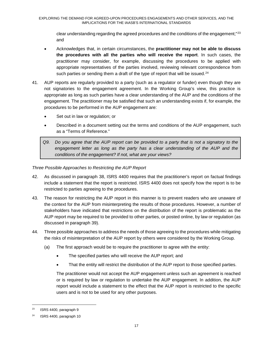clear understanding regarding the agreed procedures and the conditions of the engagement;"<sup>23</sup> and

- Acknowledges that, in certain circumstances, the **practitioner may not be able to discuss the procedures with all the parties who will receive the report**. In such cases, the practitioner may consider, for example, discussing the procedures to be applied with appropriate representatives of the parties involved, reviewing relevant correspondence from such parties or sending them a draft of the type of report that will be issued.<sup>24</sup>
- 41. AUP reports are regularly provided to a party (such as a regulator or funder) even though they are not signatories to the engagement agreement. In the Working Group's view, this practice is appropriate as long as such parties have a clear understanding of the AUP and the conditions of the engagement. The practitioner may be satisfied that such an understanding exists if, for example, the procedures to be performed in the AUP engagement are:
	- Set out in law or regulation; or
	- Described in a document setting out the terms and conditions of the AUP engagement, such as a "Terms of Reference."
	- *Q9. Do you agree that the AUP report can be provided to a party that is not a signatory to the*  engagement letter as long as the party has a clear understanding of the AUP and the *conditions of the engagement? If not, what are your views?*

*Three Possible Approaches to Restricting the AUP Report*

- 42. As discussed in paragraph 38, ISRS 4400 requires that the practitioner's report on factual findings include a statement that the report is restricted. ISRS 4400 does not specify how the report is to be restricted to parties agreeing to the procedures.
- 43. The reason for restricting the AUP report in this manner is to prevent readers who are unaware of the context for the AUP from misinterpreting the results of those procedures. However, a number of stakeholders have indicated that restrictions on the distribution of the report is problematic as the AUP report may be required to be provided to other parties, or posted online, by law or regulation (as discussed in paragraph 39).
- 44. Three possible approaches to address the needs of those agreeing to the procedures while mitigating the risks of misinterpretation of the AUP report by others were considered by the Working Group.
	- (a) The first approach would be to require the practitioner to agree with the entity:
		- The specified parties who will receive the AUP report; and
		- That the entity will restrict the distribution of the AUP report to those specified parties.

The practitioner would not accept the AUP engagement unless such an agreement is reached or is required by law or regulation to undertake the AUP engagement. In addition, the AUP report would include a statement to the effect that the AUP report is restricted to the specific users and is not to be used for any other purposes.

 $23$  ISRS 4400, paragraph 9

ISRS 4400, paragraph 10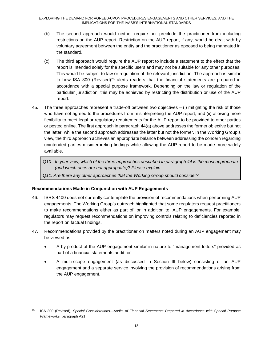- (b) The second approach would neither require nor preclude the practitioner from including restrictions on the AUP report. Restriction on the AUP report, if any, would be dealt with by voluntary agreement between the entity and the practitioner as opposed to being mandated in the standard.
- (c) The third approach would require the AUP report to include a statement to the effect that the report is intended solely for the specific users and may not be suitable for any other purposes. This would be subject to law or regulation of the relevant jurisdiction. The approach is similar to how ISA 800 (Revised)<sup>25</sup> alerts readers that the financial statements are prepared in accordance with a special purpose framework. Depending on the law or regulation of the particular jurisdiction, this may be achieved by restricting the distribution or use of the AUP report.
- 45. The three approaches represent a trade-off between two objectives (i) mitigating the risk of those who have not agreed to the procedures from misinterpreting the AUP report, and (ii) allowing more flexibility to meet legal or regulatory requirements for the AUP report to be provided to other parties or posted online. The first approach in paragraph 44(a) above addresses the former objective but not the latter, while the second approach addresses the latter but not the former. In the Working Group's view, the third approach achieves an appropriate balance between addressing the concern regarding unintended parties misinterpreting findings while allowing the AUP report to be made more widely available.
	- *Q10. In your view, which of the three approaches described in paragraph 44 is the most appropriate (and which ones are not appropriate)? Please explain.*
	- *Q11. Are there any other approaches that the Working Group should consider?*

### **Recommendations Made in Conjunction with AUP Engagements**

- 46. ISRS 4400 does not currently contemplate the provision of recommendations when performing AUP engagements. The Working Group's outreach highlighted that some regulators request practitioners to make recommendations either as part of, or in addition to, AUP engagements. For example, regulators may request recommendations on improving controls relating to deficiencies reported in the report on factual findings.
- 47. Recommendations provided by the practitioner on matters noted during an AUP engagement may be viewed as:
	- A by-product of the AUP engagement similar in nature to "management letters" provided as part of a financial statements audit; or
	- A multi-scope engagement (as discussed in Section III below) consisting of an AUP engagement and a separate service involving the provision of recommendations arising from the AUP engagement.

 <sup>25</sup> ISA 800 (Revised), *Special Considerations—Audits of Financial Statements Prepared in Accordance with Special Purpose Frameworks,* paragraph A21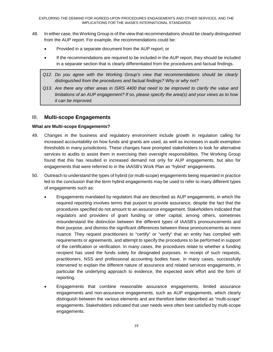- 48. In either case, the Working Group is of the view that recommendations should be clearly distinguished from the AUP report. For example, the recommendations could be:
	- Provided in a separate document from the AUP report; or
	- If the recommendations are required to be included in the AUP report, they should be included in a separate section that is clearly differentiated from the procedures and factual findings.
	- *Q12. Do you agree with the Working Group's view that recommendations should be clearly distinguished from the procedures and factual findings? Why or why not?*
	- *Q13. Are there any other areas in ISRS 4400 that need to be improved to clarify the value and limitations of an AUP engagement? If so, please specify the area(s) and your views as to how it can be improved.*

### III. **Multi-scope Engagements**

### **What are Multi-scope Engagements?**

- 49. Changes in the business and regulatory environment include growth in regulation calling for increased accountability on how funds and grants are used, as well as increases in audit exemption thresholds in many jurisdictions. These changes have prompted stakeholders to look for alternative services to audits to assist them in exercising their oversight responsibilities. The Working Group found that this has resulted in increased demand not only for AUP engagements, but also for engagements that were referred to in the IAASB's Work Plan as "hybrid" engagements.
- 50. Outreach to understand the types of hybrid (or multi-scope) engagements being requested in practice led to the conclusion that the term hybrid engagements may be used to refer to many different types of engagements such as:
	- Engagements mandated by regulators that are described as AUP engagements, in which the required reporting involves terms that purport to provide assurance, despite the fact that the procedures specified do not amount to an assurance engagement. Stakeholders indicated that regulators and providers of grant funding or other capital, among others, sometimes misunderstand the distinction between the different types of IAASB's pronouncements and their purpose, and dismiss the significant differences between these pronouncements as mere nuance. They request practitioners to "certify" or "verify" that an entity has complied with requirements or agreements, and attempt to specify the procedures to be performed in support of the certification or verification. In many cases, the procedures relate to whether a funding recipient has used the funds solely for designated purposes. In receipt of such requests, practitioners, NSS and professional accounting bodies have, in many cases, successfully intervened to explain the different nature of assurance and related services engagements, in particular the underlying approach to evidence, the expected work effort and the form of reporting.
	- Engagements that combine reasonable assurance engagements, limited assurance engagements and non-assurance engagements, such as AUP engagements, which clearly distinguish between the various elements and are therefore better described as "multi-scope" engagements. Stakeholders indicated that user needs were often best satisfied by multi-scope engagements.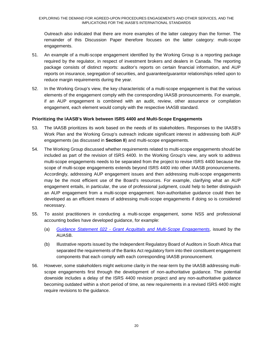Outreach also indicated that there are more examples of the latter category than the former. The remainder of this Discussion Paper therefore focuses on the latter category: multi-scope engagements.

- 51. An example of a multi-scope engagement identified by the Working Group is a reporting package required by the regulator, in respect of investment brokers and dealers in Canada. The reporting package consists of distinct reports: auditor's reports on certain financial information, and AUP reports on insurance, segregation of securities, and guarantee/guarantor relationships relied upon to reduce margin requirements during the year.
- 52. In the Working Group's view, the key characteristic of a multi-scope engagement is that the various elements of the engagement comply with the corresponding IAASB pronouncements. For example, if an AUP engagement is combined with an audit, review, other assurance or compilation engagement, each element would comply with the respective IAASB standard.

#### **Prioritizing the IAASB's Work between ISRS 4400 and Multi-Scope Engagements**

- 53. The IAASB prioritizes its work based on the needs of its stakeholders. Responses to the IAASB's Work Plan and the Working Group's outreach indicate significant interest in addressing both AUP engagements (as discussed in **Section II**) and multi-scope engagements.
- 54. The Working Group discussed whether requirements related to multi-scope engagements should be included as part of the revision of ISRS 4400. In the Working Group's view, any work to address multi-scope engagements needs to be separated from the project to revise ISRS 4400 because the scope of multi-scope engagements extends beyond ISRS 4400 into other IAASB pronouncements. Accordingly, addressing AUP engagement issues and then addressing multi-scope engagements may be the most efficient use of the Board's resources. For example, clarifying what an AUP engagement entails, in particular, the use of professional judgment, could help to better distinguish an AUP engagement from a multi-scope engagement. Non-authoritative guidance could then be developed as an efficient means of addressing multi-scope engagements if doing so is considered necessary.
- 55. To assist practitioners in conducting a multi-scope engagement, some NSS and professional accounting bodies have developed guidance, for example:
	- (a) *Guidance Statement 022 - Grant Acquittals and Multi-Scope Engagements*, issued by the AUASB.
	- (b) Illustrative reports issued by the Independent Regulatory Board of Auditors in South Africa that separated the requirements of the Banks Act regulatory form into their constituent engagement components that each comply with each corresponding IAASB pronouncement.
- 56. However, some stakeholders might welcome clarity in the near-term by the IAASB addressing multiscope engagements first through the development of non-authoritative guidance. The potential downside includes a delay of the ISRS 4400 revision project and any non-authoritative guidance becoming outdated within a short period of time, as new requirements in a revised ISRS 4400 might require revisions to the guidance.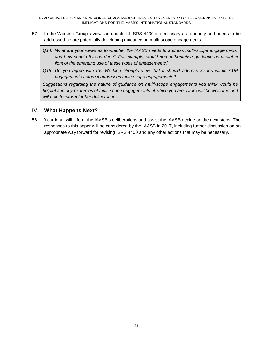- 57. In the Working Group's view, an update of ISRS 4400 is necessary as a priority and needs to be addressed before potentially developing guidance on multi-scope engagements.
	- *Q14. What are your views as to whether the IAASB needs to address multi-scope engagements, and how should this be done? For example, would non-authoritative guidance be useful in light of the emerging use of these types of engagements?*
	- *Q15. Do you agree with the Working Group's view that it should address issues within AUP engagements before it addresses multi-scope engagements?*

*Suggestions regarding the nature of guidance on multi-scope engagements you think would be helpful and any examples of multi-scope engagements of which you are aware will be welcome and will help to inform further deliberations.* 

# IV. **What Happens Next?**

58. Your input will inform the IAASB's deliberations and assist the IAASB decide on the next steps. The responses to this paper will be considered by the IAASB in 2017, including further discussion on an appropriate way forward for revising ISRS 4400 and any other actions that may be necessary.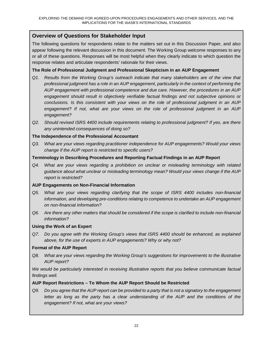# **Overview of Questions for Stakeholder Input**

The following questions for respondents relate to the matters set out in this Discussion Paper, and also appear following the relevant discussion in this document. The Working Group welcome responses to any or all of these questions. Responses will be most helpful when they clearly indicate to which question the response relates and articulate respondents' rationale for their views.

### **The Role of Professional Judgment and Professional Skepticism in an AUP Engagement**

- *Q1. Results from the Working Group's outreach indicate that many stakeholders are of the view that professional judgment has a role in an AUP engagement, particularly in the context of performing the AUP engagement with professional competence and due care. However, the procedures in an AUP engagement should result in objectively verifiable factual findings and not subjective opinions or conclusions. Is this consistent with your views on the role of professional judgment in an AUP engagement? If not, what are your views on the role of professional judgment in an AUP engagement?*
- *Q2. Should revised ISRS 4400 include requirements relating to professional judgment? If yes, are there any unintended consequences of doing so?*

### **The Independence of the Professional Accountant**

*Q3. What are your views regarding practitioner independence for AUP engagements? Would your views change if the AUP report is restricted to specific users?*

### **Terminology in Describing Procedures and Reporting Factual Findings in an AUP Report**

*Q4. What are your views regarding a prohibition on unclear or misleading terminology with related guidance about what unclear or misleading terminology mean? Would your views change if the AUP report is restricted?*

### **AUP Engagements on Non-Financial Information**

- *Q5. What are your views regarding clarifying that the scope of ISRS 4400 includes non-financial information, and developing pre-conditions relating to competence to undertake an AUP engagement on non-financial information?*
- *Q6. Are there any other matters that should be considered if the scope is clarified to include non-financial information?*

### **Using the Work of an Expert**

*Q7. Do you agree with the Working Group's views that ISRS 4400 should be enhanced, as explained above, for the use of experts in AUP engagements? Why or why not?*

### **Format of the AUP Report**

*Q8. What are your views regarding the Working Group's suggestions for improvements to the illustrative AUP report?*

*We would be particularly interested in receiving Illustrative reports that you believe communicate factual findings well.* 

### **AUP Report Restrictions – To Whom the AUP Report Should be Restricted**

*Q9. Do you agree that the AUP report can be provided to a party that is not a signatory to the engagement letter as long as the party has a clear understanding of the AUP and the conditions of the engagement? If not, what are your views?*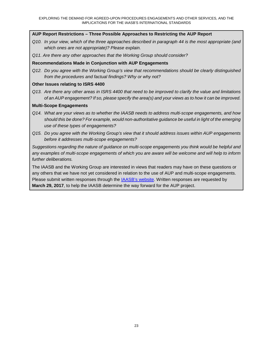### **AUP Report Restrictions – Three Possible Approaches to Restricting the AUP Report**

- *Q10. In your view, which of the three approaches described in paragraph 44 is the most appropriate (and which ones are not appropriate)? Please explain.*
- *Q11. Are there any other approaches that the Working Group should consider?*

#### **Recommendations Made in Conjunction with AUP Engagements**

*Q12. Do you agree with the Working Group's view that recommendations should be clearly distinguished from the procedures and factual findings? Why or why not?*

#### **Other Issues relating to ISRS 4400**

*Q13. Are there any other areas in ISRS 4400 that need to be improved to clarify the value and limitations of an AUP engagement? If so, please specify the area(s) and your views as to how it can be improved.*

#### **Multi-Scope Engagements**

- *Q14. What are your views as to whether the IAASB needs to address multi-scope engagements, and how should this be done? For example, would non-authoritative guidance be useful in light of the emerging use of these types of engagements?*
- *Q15. Do you agree with the Working Group's view that it should address issues within AUP engagements before it addresses multi-scope engagements?*

*Suggestions regarding the nature of guidance on multi-scope engagements you think would be helpful and any examples of multi-scope engagements of which you are aware will be welcome and will help to inform further deliberations.* 

The IAASB and the Working Group are interested in views that readers may have on these questions or any others that we have not yet considered in relation to the use of AUP and multi-scope engagements. Please submit written responses through the IAASB's website. Written responses are requested by **March 29, 2017**, to help the IAASB determine the way forward for the AUP project.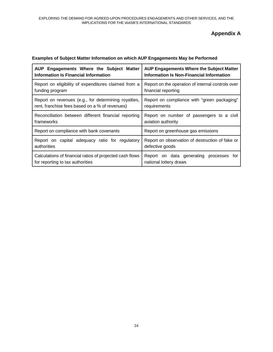# **Appendix A**

| AUP Engagements Where the Subject Matter                 | <b>AUP Engagements Where the Subject Matter</b>   |  |
|----------------------------------------------------------|---------------------------------------------------|--|
| Information Is Financial Information                     | Information Is Non-Financial Information          |  |
| Report on eligibility of expenditures claimed from a     | Report on the operation of internal controls over |  |
| funding program                                          | financial reporting                               |  |
| Report on revenues (e.g., for determining royalties,     | Report on compliance with "green packaging"       |  |
| rent, franchise fees based on a % of revenues)           | requirements                                      |  |
| Reconciliation between different financial reporting     | Report on number of passengers to a civil         |  |
| frameworks                                               | aviation authority                                |  |
| Report on compliance with bank covenants                 | Report on greenhouse gas emissions                |  |
| Report on capital adequacy ratio for regulatory          | Report on observation of destruction of fake or   |  |
| authorities                                              | defective goods                                   |  |
| Calculations of financial ratios of projected cash flows | Report on data generating processes for           |  |
| for reporting to tax authorities                         | national lottery draws                            |  |

### **Examples of Subject Matter Information on which AUP Engagements May be Performed**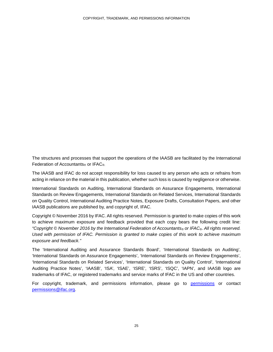The structures and processes that support the operations of the IAASB are facilitated by the International Federation of Accountants<sup>®</sup> or IFAC<sup>®</sup>.

The IAASB and IFAC do not accept responsibility for loss caused to any person who acts or refrains from acting in reliance on the material in this publication, whether such loss is caused by negligence or otherwise.

International Standards on Auditing, International Standards on Assurance Engagements, International Standards on Review Engagements, International Standards on Related Services, International Standards on Quality Control, International Auditing Practice Notes, Exposure Drafts, Consultation Papers, and other IAASB publications are published by, and copyright of, IFAC.

Copyright © November 2016 by IFAC. All rights reserved. Permission is granted to make copies of this work to achieve maximum exposure and feedback provided that each copy bears the following credit line: *"Copyright © November 2016 by the International Federation of Accountants® or IFAC®. All rights reserved. Used with permission of IFAC. Permission is granted to make copies of this work to achieve maximum exposure and feedback."*

The 'International Auditing and Assurance Standards Board', 'International Standards on Auditing', 'International Standards on Assurance Engagements', 'International Standards on Review Engagements', 'International Standards on Related Services', 'International Standards on Quality Control', 'International Auditing Practice Notes', 'IAASB', 'ISA', 'ISAE', 'ISRE', 'ISRS', 'ISQC', 'IAPN', and IAASB logo are trademarks of IFAC, or registered trademarks and service marks of IFAC in the US and other countries.

For copyright, trademark, and permissions information, please go to permissions or contact permissions@ifac.org.